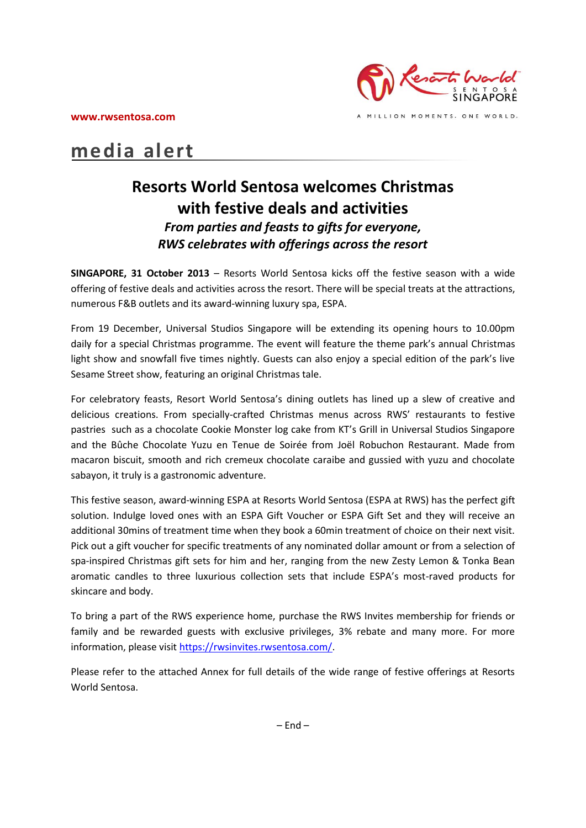

# **media alert**

## **Resorts World Sentosa welcomes Christmas with festive deals and activities**  *From parties and feasts to gifts for everyone, RWS celebrates with offerings across the resort*

**SINGAPORE, 31 October 2013** – Resorts World Sentosa kicks off the festive season with a wide offering of festive deals and activities across the resort. There will be special treats at the attractions, numerous F&B outlets and its award-winning luxury spa, ESPA.

From 19 December, Universal Studios Singapore will be extending its opening hours to 10.00pm daily for a special Christmas programme. The event will feature the theme park's annual Christmas light show and snowfall five times nightly. Guests can also enjoy a special edition of the park's live Sesame Street show, featuring an original Christmas tale.

For celebratory feasts, Resort World Sentosa's dining outlets has lined up a slew of creative and delicious creations. From specially-crafted Christmas menus across RWS' restaurants to festive pastries such as a chocolate Cookie Monster log cake from KT's Grill in Universal Studios Singapore and the Bûche Chocolate Yuzu en Tenue de Soirée from Joël Robuchon Restaurant. Made from macaron biscuit, smooth and rich cremeux chocolate caraibe and gussied with yuzu and chocolate sabayon, it truly is a gastronomic adventure.

This festive season, award-winning ESPA at Resorts World Sentosa (ESPA at RWS) has the perfect gift solution. Indulge loved ones with an ESPA Gift Voucher or ESPA Gift Set and they will receive an additional 30mins of treatment time when they book a 60min treatment of choice on their next visit. Pick out a gift voucher for specific treatments of any nominated dollar amount or from a selection of spa-inspired Christmas gift sets for him and her, ranging from the new Zesty Lemon & Tonka Bean aromatic candles to three luxurious collection sets that include ESPA's most-raved products for skincare and body.

To bring a part of the RWS experience home, purchase the RWS Invites membership for friends or family and be rewarded guests with exclusive privileges, 3% rebate and many more. For more information, please visit [https://rwsinvites.rwsentosa.com/.](https://rwsinvites.rwsentosa.com/)

Please refer to the attached Annex for full details of the wide range of festive offerings at Resorts World Sentosa.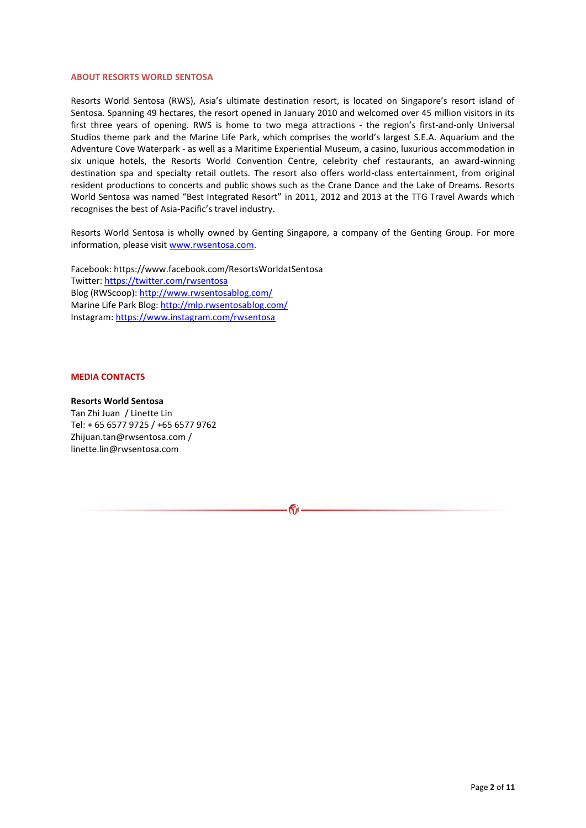#### **ABOUT RESORTS WORLD SENTOSA**

Resorts World Sentosa (RWS), Asia's ultimate destination resort, is located on Singapore's resort island of Sentosa. Spanning 49 hectares, the resort opened in January 2010 and welcomed over 45 million visitors in its first three years of opening. RWS is home to two mega attractions - the region's first-and-only Universal Studios theme park and the Marine Life Park, which comprises the world's largest S.E.A. Aquarium and the Adventure Cove Waterpark - as well as a Maritime Experiential Museum, a casino, luxurious accommodation in six unique hotels, the Resorts World Convention Centre, celebrity chef restaurants, an award-winning destination spa and specialty retail outlets. The resort also offers world-class entertainment, from original resident productions to concerts and public shows such as the Crane Dance and the Lake of Dreams. Resorts World Sentosa was named "Best Integrated Resort" in 2011, 2012 and 2013 at the TTG Travel Awards which recognises the best of Asia-Pacific's travel industry.

Resorts World Sentosa is wholly owned by Genting Singapore, a company of the Genting Group. For more information, please visit [www.rwsentosa.com.](http://www.rwsentosa.com/)

Facebook: https://www.facebook.com/ResortsWorldatSentosa Twitter[: https://twitter.com/rwsentosa](https://twitter.com/rwsentosa) Blog (RWScoop):<http://www.rwsentosablog.com/> Marine Life Park Blog:<http://mlp.rwsentosablog.com/> Instagram[: https://www.instagram.com/rwsentosa](https://www.instagram.com/rwsentosa)

#### **MEDIA CONTACTS**

## **Resorts World Sentosa**

Tan Zhi Juan / Linette Lin Tel: + 65 6577 9725 / +65 6577 9762 Zhijuan.tan@rwsentosa.com / linette.lin@rwsentosa.com

 $\mathbf{G}$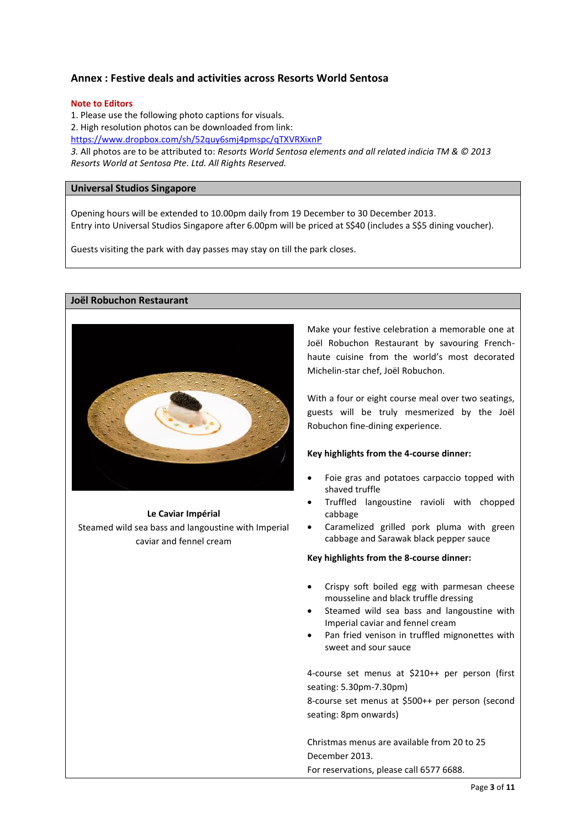## **Annex : Festive deals and activities across Resorts World Sentosa**

## **Note to Editors**

1. Please use the following photo captions for visuals. 2. High resolution photos can be downloaded from link: <https://www.dropbox.com/sh/52quy6smj4pmspc/qTXVRXixnP> *3.* All photos are to be attributed to: *Resorts World Sentosa elements and all related indicia TM & © 2013 Resorts World at Sentosa Pte. Ltd. All Rights Reserved.* 

## **Universal Studios Singapore**

Opening hours will be extended to 10.00pm daily from 19 December to 30 December 2013. Entry into Universal Studios Singapore after 6.00pm will be priced at S\$40 (includes a S\$5 dining voucher).

Guests visiting the park with day passes may stay on till the park closes.

**Joël Robuchon Restaurant**



#### **Le Caviar Impérial**

Steamed wild sea bass and langoustine with Imperial caviar and fennel cream

Make your festive celebration a memorable one at Joël Robuchon Restaurant by savouring Frenchhaute cuisine from the world's most decorated Michelin-star chef, Joël Robuchon.

With a four or eight course meal over two seatings, guests will be truly mesmerized by the Joël Robuchon fine-dining experience.

## **Key highlights from the 4-course dinner:**

- Foie gras and potatoes carpaccio topped with shaved truffle
- Truffled langoustine ravioli with chopped cabbage
- Caramelized grilled pork pluma with green cabbage and Sarawak black pepper sauce

## **Key highlights from the 8-course dinner:**

- Crispy soft boiled egg with parmesan cheese mousseline and black truffle dressing
- Steamed wild sea bass and langoustine with Imperial caviar and fennel cream
- Pan fried venison in truffled mignonettes with sweet and sour sauce

4-course set menus at \$210++ per person (first seating: 5.30pm-7.30pm)

8-course set menus at \$500++ per person (second seating: 8pm onwards)

Christmas menus are available from 20 to 25 December 2013. For reservations, please call 6577 6688.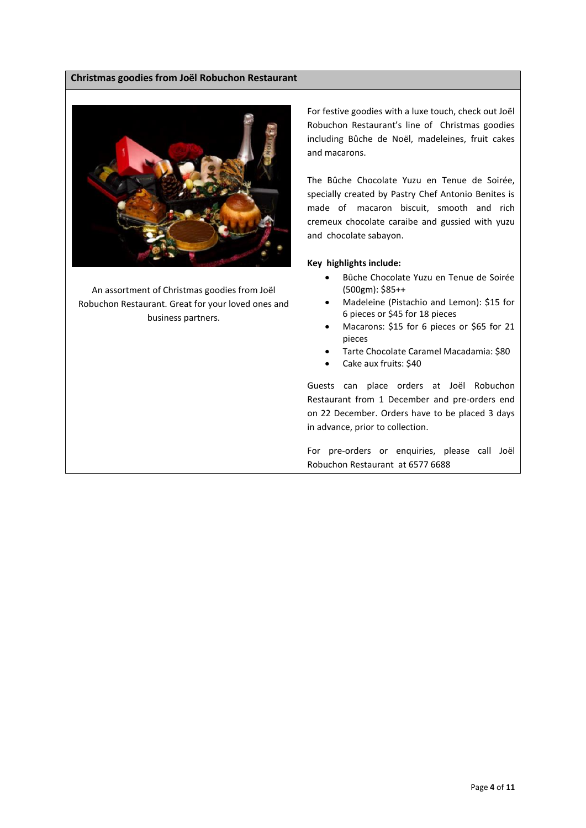## **Christmas goodies from Joël Robuchon Restaurant**



An assortment of Christmas goodies from Joël Robuchon Restaurant. Great for your loved ones and business partners.

For festive goodies with a luxe touch, check out Joël Robuchon Restaurant's line of Christmas goodies including Bûche de Noël, madeleines, fruit cakes and macarons.

The Bûche Chocolate Yuzu en Tenue de Soirée, specially created by Pastry Chef Antonio Benites is made of macaron biscuit, smooth and rich cremeux chocolate caraibe and gussied with yuzu and chocolate sabayon.

## **Key highlights include:**

- Bûche Chocolate Yuzu en Tenue de Soirée (500gm): \$85++
- Madeleine (Pistachio and Lemon): \$15 for 6 pieces or \$45 for 18 pieces
- Macarons: \$15 for 6 pieces or \$65 for 21 pieces
- Tarte Chocolate Caramel Macadamia: \$80
- Cake aux fruits: \$40

Guests can place orders at Joël Robuchon Restaurant from 1 December and pre-orders end on 22 December. Orders have to be placed 3 days in advance, prior to collection.

For pre-orders or enquiries, please call Joël Robuchon Restaurant at 6577 6688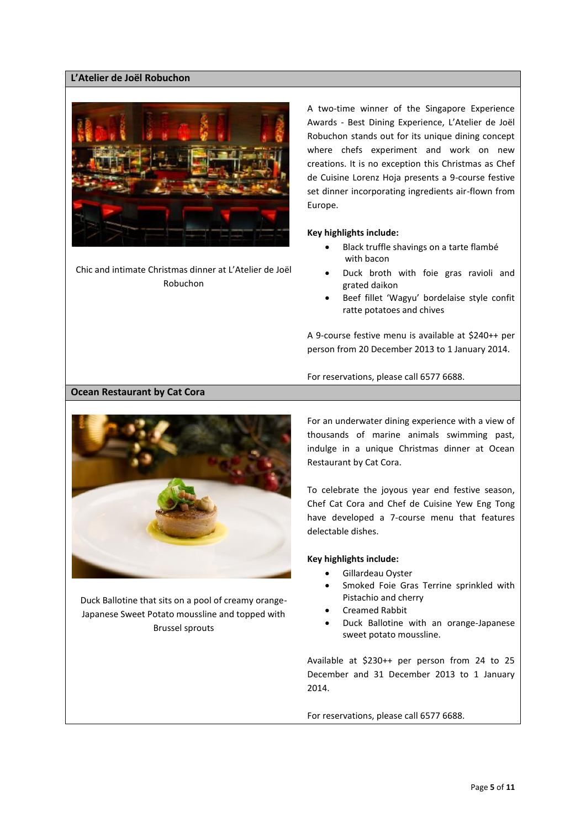## **L'Atelier de Joël Robuchon**



Chic and intimate Christmas dinner at L'Atelier de Joël Robuchon

A two-time winner of the Singapore Experience Awards - Best Dining Experience, L'Atelier de Joël Robuchon stands out for its unique dining concept where chefs experiment and work on new creations. It is no exception this Christmas as Chef de Cuisine Lorenz Hoja presents a 9-course festive set dinner incorporating ingredients air-flown from Europe.

## **Key highlights include:**

- Black truffle shavings on a tarte flambé with bacon
- Duck broth with foie gras ravioli and grated daikon
- Beef fillet 'Wagyu' bordelaise style confit ratte potatoes and chives

A 9-course festive menu is available at \$240++ per person from 20 December 2013 to 1 January 2014.

For reservations, please call 6577 6688.

## **Ocean Restaurant by Cat Cora**



Duck Ballotine that sits on a pool of creamy orange-Japanese Sweet Potato moussline and topped with Brussel sprouts

For an underwater dining experience with a view of thousands of marine animals swimming past, indulge in a unique Christmas dinner at Ocean Restaurant by Cat Cora.

To celebrate the joyous year end festive season, Chef Cat Cora and Chef de Cuisine Yew Eng Tong have developed a 7-course menu that features delectable dishes.

#### **Key highlights include:**

- Gillardeau Oyster
- Smoked Foie Gras Terrine sprinkled with Pistachio and cherry
- Creamed Rabbit
- Duck Ballotine with an orange-Japanese sweet potato moussline.

Available at \$230++ per person from 24 to 25 December and 31 December 2013 to 1 January 2014.

For reservations, please call 6577 6688.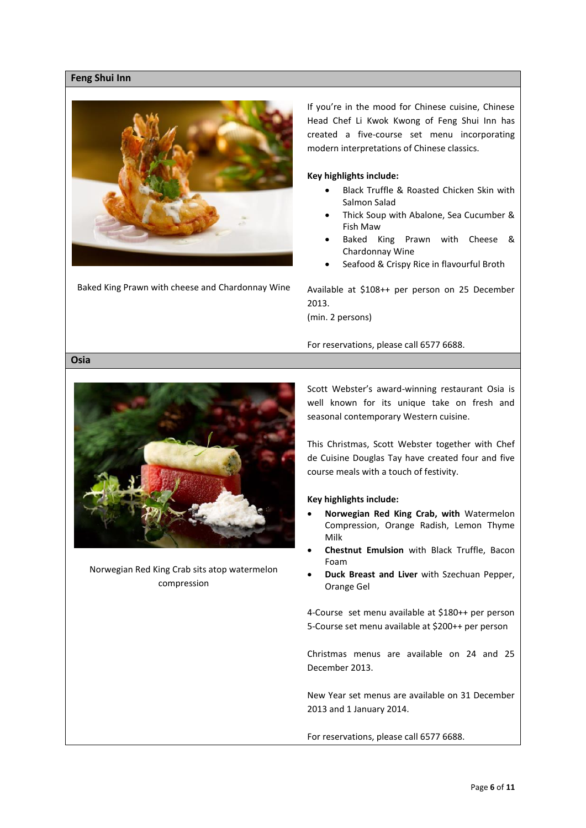## **Feng Shui Inn**



Baked King Prawn with cheese and Chardonnay Wine

If you're in the mood for Chinese cuisine, Chinese Head Chef Li Kwok Kwong of Feng Shui Inn has created a five-course set menu incorporating modern interpretations of Chinese classics.

#### **Key highlights include:**

- Black Truffle & Roasted Chicken Skin with Salmon Salad
- Thick Soup with Abalone, Sea Cucumber & Fish Maw
- Baked King Prawn with Cheese & Chardonnay Wine
- Seafood & Crispy Rice in flavourful Broth

Available at \$108++ per person on 25 December 2013.

(min. 2 persons)

For reservations, please call 6577 6688.

## **Osia**



Norwegian Red King Crab sits atop watermelon compression

Scott Webster's award-winning restaurant Osia is well known for its unique take on fresh and seasonal contemporary Western cuisine.

This Christmas, Scott Webster together with Chef de Cuisine Douglas Tay have created four and five course meals with a touch of festivity.

#### **Key highlights include:**

- **Norwegian Red King Crab, with** Watermelon Compression, Orange Radish, Lemon Thyme Milk
- **Chestnut Emulsion** with Black Truffle, Bacon Foam
- **Duck Breast and Liver** with Szechuan Pepper, Orange Gel

4-Course set menu available at \$180++ per person 5-Course set menu available at \$200++ per person

Christmas menus are available on 24 and 25 December 2013.

New Year set menus are available on 31 December 2013 and 1 January 2014.

For reservations, please call 6577 6688.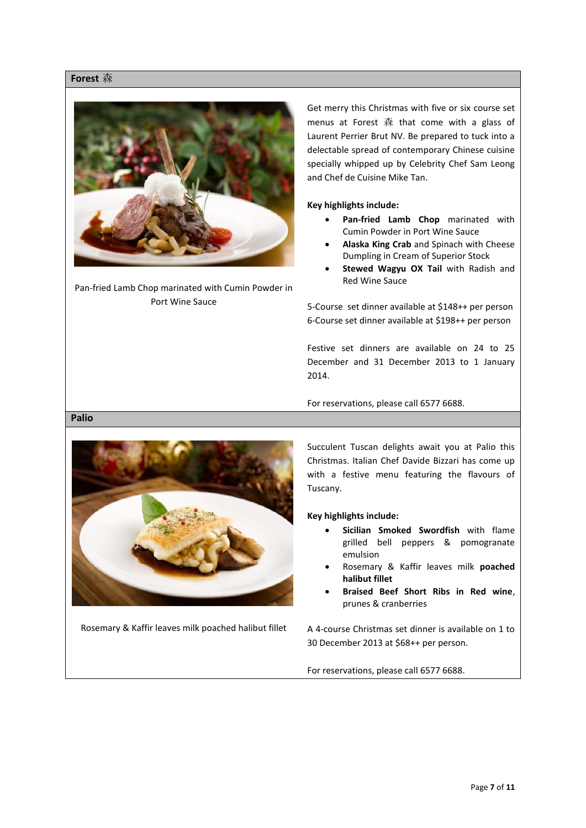## **Forest** 森



Pan-fried Lamb Chop marinated with Cumin Powder in Port Wine Sauce

Get merry this Christmas with five or six course set menus at Forest 森 that come with a glass of Laurent Perrier Brut NV. Be prepared to tuck into a delectable spread of contemporary Chinese cuisine specially whipped up by Celebrity Chef Sam Leong and Chef de Cuisine Mike Tan.

**Key highlights include:**

- **Pan-fried Lamb Chop** marinated with Cumin Powder in Port Wine Sauce
- **Alaska King Crab** and Spinach with Cheese Dumpling in Cream of Superior Stock
- **Stewed Wagyu OX Tail** with Radish and Red Wine Sauce

5-Course set dinner available at \$148++ per person 6-Course set dinner available at \$198++ per person

Festive set dinners are available on 24 to 25 December and 31 December 2013 to 1 January 2014.

For reservations, please call 6577 6688.

## **Palio**



Rosemary & Kaffir leaves milk poached halibut fillet

Succulent Tuscan delights await you at Palio this Christmas. Italian Chef Davide Bizzari has come up with a festive menu featuring the flavours of Tuscany.

**Key highlights include:**

- **Sicilian Smoked Swordfish** with flame grilled bell peppers & pomogranate emulsion
- Rosemary & Kaffir leaves milk **poached halibut fillet**
- **Braised Beef Short Ribs in Red wine**, prunes & cranberries

A 4-course Christmas set dinner is available on 1 to 30 December 2013 at \$68++ per person.

For reservations, please call 6577 6688.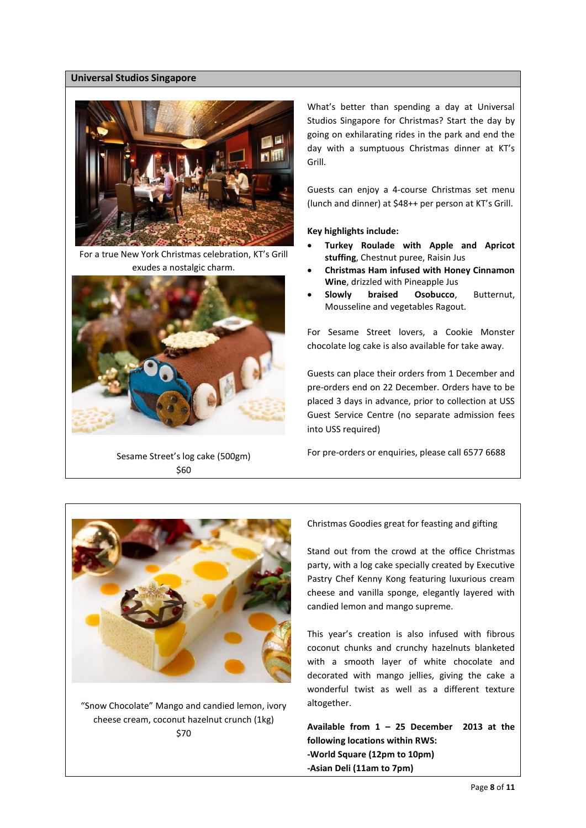## **Universal Studios Singapore**



For a true New York Christmas celebration, KT's Grill exudes a nostalgic charm.



Sesame Street's log cake (500gm) \$60

What's better than spending a day at Universal Studios Singapore for Christmas? Start the day by going on exhilarating rides in the park and end the day with a sumptuous Christmas dinner at KT's Grill.

Guests can enjoy a 4-course Christmas set menu (lunch and dinner) at \$48++ per person at KT's Grill.

#### **Key highlights include:**

- **Turkey Roulade with Apple and Apricot stuffing**, Chestnut puree, Raisin Jus
- **Christmas Ham infused with Honey Cinnamon Wine**, drizzled with Pineapple Jus
- **Slowly braised Osobucco**, Butternut, Mousseline and vegetables Ragout*.*

For Sesame Street lovers, a Cookie Monster chocolate log cake is also available for take away.

Guests can place their orders from 1 December and pre-orders end on 22 December. Orders have to be placed 3 days in advance, prior to collection at USS Guest Service Centre (no separate admission fees into USS required)

For pre-orders or enquiries, please call 6577 6688



"Snow Chocolate" Mango and candied lemon, ivory cheese cream, coconut hazelnut crunch (1kg) \$70

Christmas Goodies great for feasting and gifting

Stand out from the crowd at the office Christmas party, with a log cake specially created by Executive Pastry Chef Kenny Kong featuring luxurious cream cheese and vanilla sponge, elegantly layered with candied lemon and mango supreme.

This year's creation is also infused with fibrous coconut chunks and crunchy hazelnuts blanketed with a smooth layer of white chocolate and decorated with mango jellies, giving the cake a wonderful twist as well as a different texture altogether.

**Available from 1 – 25 December 2013 at the following locations within RWS: -World Square (12pm to 10pm) -Asian Deli (11am to 7pm)**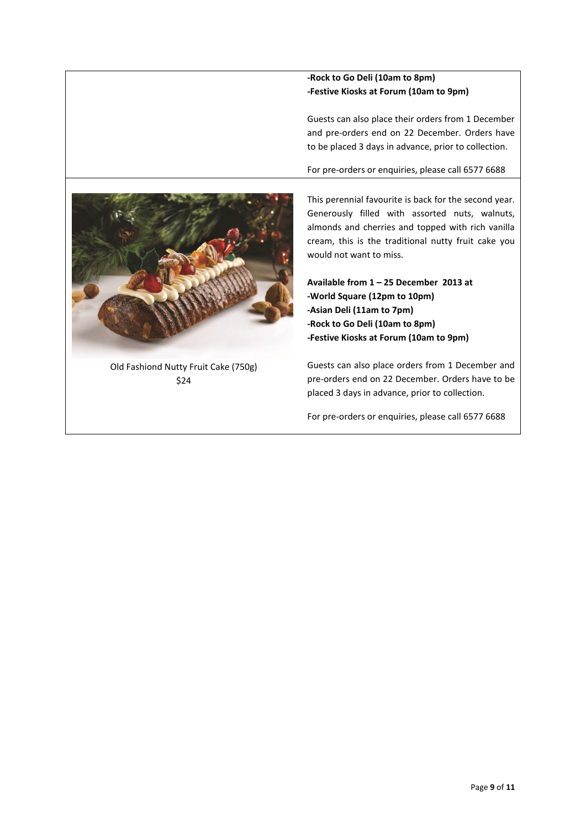## **-Rock to Go Deli (10am to 8pm) -Festive Kiosks at Forum (10am to 9pm)**

Guests can also place their orders from 1 December and pre-orders end on 22 December. Orders have to be placed 3 days in advance, prior to collection.

For pre-orders or enquiries, please call 6577 6688



Old Fashiond Nutty Fruit Cake (750g) \$24

This perennial favourite is back for the second year. Generously filled with assorted nuts, walnuts, almonds and cherries and topped with rich vanilla cream, this is the traditional nutty fruit cake you would not want to miss.

**Available from 1 – 25 December 2013 at -World Square (12pm to 10pm) -Asian Deli (11am to 7pm) -Rock to Go Deli (10am to 8pm) -Festive Kiosks at Forum (10am to 9pm)**

Guests can also place orders from 1 December and pre-orders end on 22 December. Orders have to be placed 3 days in advance, prior to collection.

For pre-orders or enquiries, please call 6577 6688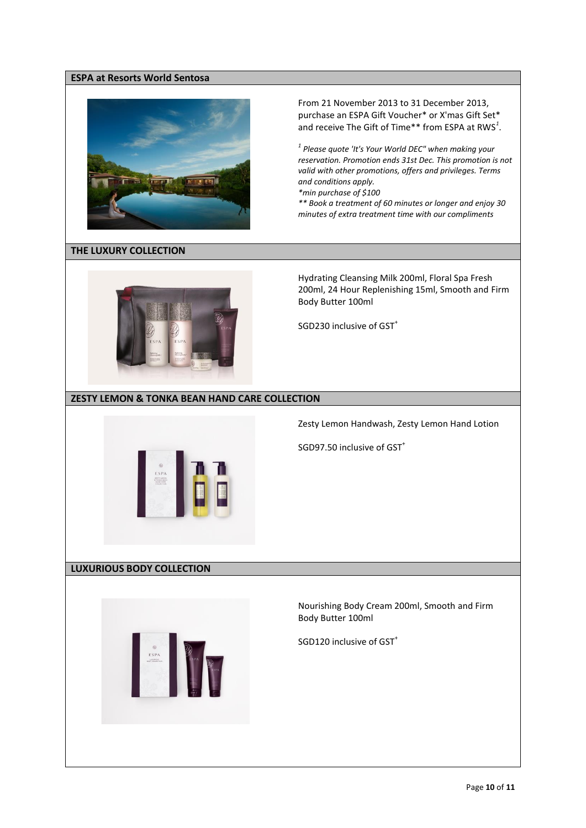## **ESPA at Resorts World Sentosa**



From 21 November 2013 to 31 December 2013, purchase an ESPA Gift Voucher\* or X'mas Gift Set\* and receive The Gift of Time\*\* from ESPA at RWS*<sup>1</sup>* .

*1 Please quote 'It's Your World DEC" when making your reservation. Promotion ends 31st Dec. This promotion is not valid with other promotions, offers and privileges. Terms and conditions apply.* 

*\*min purchase of \$100*

*\*\* Book a treatment of 60 minutes or longer and enjoy 30 minutes of extra treatment time with our compliments*

## **THE LUXURY COLLECTION**



Hydrating Cleansing Milk 200ml, Floral Spa Fresh 200ml, 24 Hour Replenishing 15ml, Smooth and Firm Body Butter 100ml

SGD230 inclusive of GST<sup>+</sup>

## **ZESTY LEMON & TONKA BEAN HAND CARE COLLECTION**



Zesty Lemon Handwash, Zesty Lemon Hand Lotion

SGD97.50 inclusive of GST<sup>+</sup>

## **LUXURIOUS BODY COLLECTION**



Nourishing Body Cream 200ml, Smooth and Firm Body Butter 100ml

SGD120 inclusive of GST<sup>+</sup>